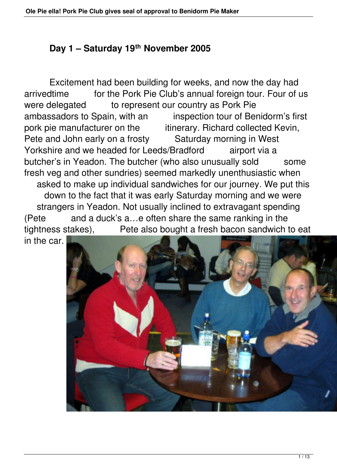## **Day 1 – Saturday 19th November 2005**

 Excitement had been building for weeks, and now the day had arrivedtime for the Pork Pie Club's annual foreign tour. Four of us were delegated to represent our country as Pork Pie ambassadors to Spain, with an inspection tour of Benidorm's first pork pie manufacturer on the itinerary. Richard collected Kevin, Pete and John early on a frosty Saturday morning in West Yorkshire and we headed for Leeds/Bradford airport via a butcher's in Yeadon. The butcher (who also unusually sold some fresh veg and other sundries) seemed markedly unenthusiastic when asked to make up individual sandwiches for our journey. We put this down to the fact that it was early Saturday morning and we were strangers in Yeadon. Not usually inclined to extravagant spending (Pete and a duck's a…e often share the same ranking in the tightness stakes), Pete also bought a fresh bacon sandwich to eat in the car.

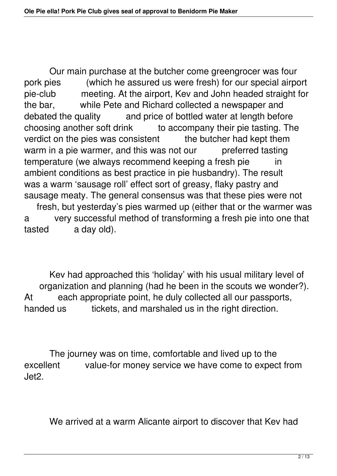Our main purchase at the butcher come greengrocer was four pork pies (which he assured us were fresh) for our special airport pie-club meeting. At the airport, Kev and John headed straight for the bar, while Pete and Richard collected a newspaper and debated the quality and price of bottled water at length before choosing another soft drink to accompany their pie tasting. The verdict on the pies was consistent the butcher had kept them warm in a pie warmer, and this was not our preferred tasting temperature (we always recommend keeping a fresh pie in ambient conditions as best practice in pie husbandry). The result was a warm 'sausage roll' effect sort of greasy, flaky pastry and sausage meaty. The general consensus was that these pies were not fresh, but yesterday's pies warmed up (either that or the warmer was

a very successful method of transforming a fresh pie into one that tasted a day old).

 Kev had approached this 'holiday' with his usual military level of organization and planning (had he been in the scouts we wonder?). At each appropriate point, he duly collected all our passports, handed us tickets, and marshaled us in the right direction.

 The journey was on time, comfortable and lived up to the excellent value-for money service we have come to expect from Jet2.

We arrived at a warm Alicante airport to discover that Kev had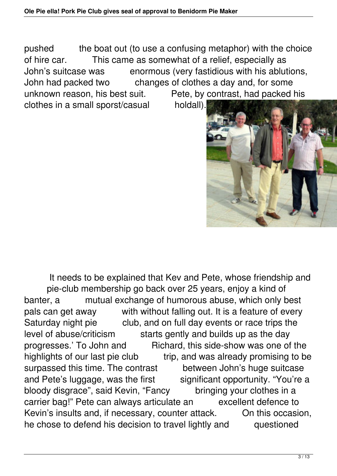pushed the boat out (to use a confusing metaphor) with the choice of hire car. This came as somewhat of a relief, especially as John's suitcase was enormous (very fastidious with his ablutions, John had packed two changes of clothes a day and, for some unknown reason, his best suit. Pete, by contrast, had packed his clothes in a small sporst/casual holdall).



 It needs to be explained that Kev and Pete, whose friendship and pie-club membership go back over 25 years, enjoy a kind of banter, a mutual exchange of humorous abuse, which only best pals can get away with without falling out. It is a feature of every Saturday night pie club, and on full day events or race trips the level of abuse/criticism starts gently and builds up as the day progresses.' To John and Richard, this side-show was one of the highlights of our last pie club trip, and was already promising to be surpassed this time. The contrast between John's huge suitcase and Pete's luggage, was the first significant opportunity. "You're a bloody disgrace", said Kevin, "Fancy bringing your clothes in a carrier bag!" Pete can always articulate an excellent defence to Kevin's insults and, if necessary, counter attack. On this occasion, he chose to defend his decision to travel lightly and questioned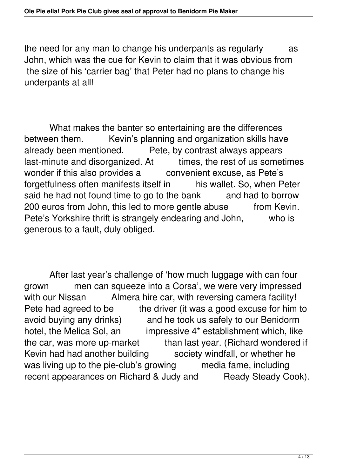the need for any man to change his underpants as regularly as John, which was the cue for Kevin to claim that it was obvious from the size of his 'carrier bag' that Peter had no plans to change his underpants at all!

 What makes the banter so entertaining are the differences between them. Kevin's planning and organization skills have<br>already been mentioned. Pete, by contrast always appears Pete, by contrast always appears last-minute and disorganized. At times, the rest of us sometimes wonder if this also provides a convenient excuse, as Pete's forgetfulness often manifests itself in his wallet. So, when Peter said he had not found time to go to the bank and had to borrow 200 euros from John, this led to more gentle abuse from Kevin. Pete's Yorkshire thrift is strangely endearing and John, who is generous to a fault, duly obliged.

 After last year's challenge of 'how much luggage with can four grown men can squeeze into a Corsa', we were very impressed with our Nissan Almera hire car, with reversing camera facility! Pete had agreed to be the driver (it was a good excuse for him to avoid buying any drinks) and he took us safely to our Benidorm hotel, the Melica Sol, an impressive 4\* establishment which, like the car, was more up-market than last year. (Richard wondered if Kevin had had another building society windfall, or whether he was living up to the pie-club's growing media fame, including recent appearances on Richard & Judy and Ready Steady Cook).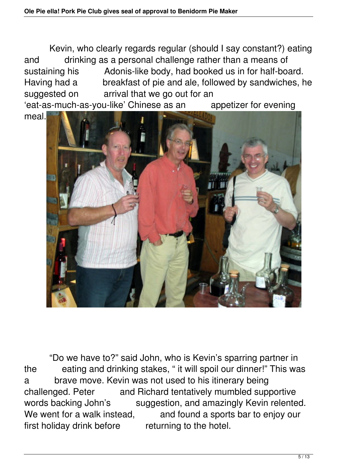Kevin, who clearly regards regular (should I say constant?) eating and drinking as a personal challenge rather than a means of sustaining his Adonis-like body, had booked us in for half-board. Having had a breakfast of pie and ale, followed by sandwiches, he suggested on arrival that we go out for an 'eat-as-much-as-you-like' Chinese as an appetizer for evening

meal.



 "Do we have to?" said John, who is Kevin's sparring partner in the eating and drinking stakes, " it will spoil our dinner!" This was a brave move. Kevin was not used to his itinerary being challenged. Peter and Richard tentatively mumbled supportive words backing John's suggestion, and amazingly Kevin relented. We went for a walk instead, and found a sports bar to enjoy our first holiday drink before returning to the hotel.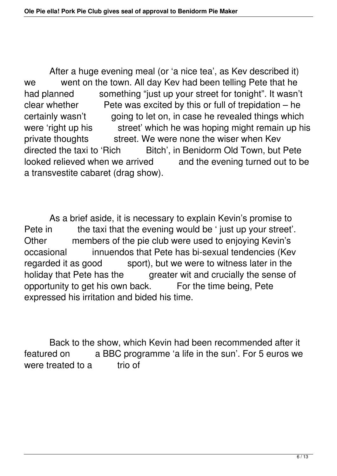After a huge evening meal (or 'a nice tea', as Kev described it) we went on the town. All day Kev had been telling Pete that he had planned something "just up your street for tonight". It wasn't clear whether Pete was excited by this or full of trepidation  $-$  he certainly wasn't going to let on, in case he revealed things which were 'right up his street' which he was hoping might remain up his private thoughts street. We were none the wiser when Kev directed the taxi to 'Rich Bitch', in Benidorm Old Town, but Pete looked relieved when we arrived and the evening turned out to be a transvestite cabaret (drag show).

 As a brief aside, it is necessary to explain Kevin's promise to Pete in the taxi that the evening would be ' just up your street'. Other members of the pie club were used to enjoying Kevin's occasional innuendos that Pete has bi-sexual tendencies (Kev regarded it as good sport), but we were to witness later in the holiday that Pete has the greater wit and crucially the sense of opportunity to get his own back. For the time being, Pete expressed his irritation and bided his time.

 Back to the show, which Kevin had been recommended after it featured on a BBC programme 'a life in the sun'. For 5 euros we were treated to a trio of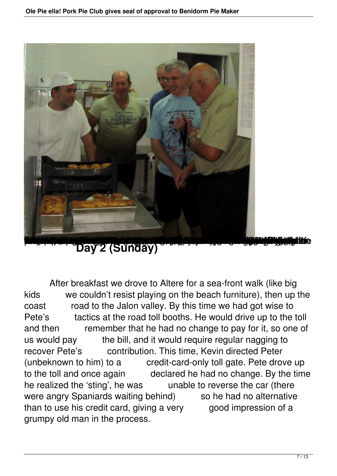

Day 2 (Sunday)

 After breakfast we drove to Altere for a sea-front walk (like big kids we couldn't resist playing on the beach furniture), then up the coast road to the Jalon valley. By this time we had got wise to Pete's tactics at the road toll booths. He would drive up to the toll and then remember that he had no change to pay for it, so one of us would pay the bill, and it would require regular nagging to recover Pete's contribution. This time, Kevin directed Peter (unbeknown to him) to a credit-card-only toll gate. Pete drove up to the toll and once again declared he had no change. By the time he realized the 'sting', he was unable to reverse the car (there were angry Spaniards waiting behind) so he had no alternative than to use his credit card, giving a very good impression of a grumpy old man in the process.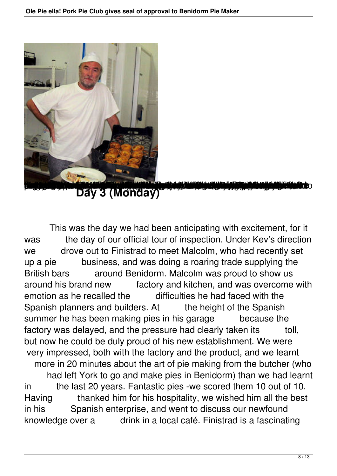

Day 3 (Monday)

 This was the day we had been anticipating with excitement, for it was the day of our official tour of inspection. Under Kev's direction we drove out to Finistrad to meet Malcolm, who had recently set up a pie business, and was doing a roaring trade supplying the British bars around Benidorm. Malcolm was proud to show us around his brand new factory and kitchen, and was overcome with emotion as he recalled the difficulties he had faced with the Spanish planners and builders. At the height of the Spanish summer he has been making pies in his garage because the factory was delayed, and the pressure had clearly taken its toll, but now he could be duly proud of his new establishment. We were very impressed, both with the factory and the product, and we learnt more in 20 minutes about the art of pie making from the butcher (who had left York to go and make pies in Benidorm) than we had learnt in the last 20 years. Fantastic pies -we scored them 10 out of 10. Having thanked him for his hospitality, we wished him all the best in his Spanish enterprise, and went to discuss our newfound knowledge over a drink in a local café. Finistrad is a fascinating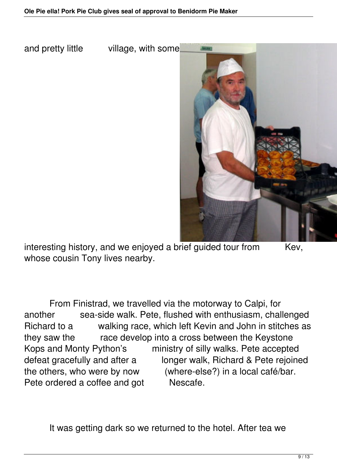and pretty little village, with some



interesting history, and we enjoyed a brief guided tour from Kev, whose cousin Tony lives nearby.

 From Finistrad, we travelled via the motorway to Calpi, for another sea-side walk. Pete, flushed with enthusiasm, challenged Richard to a walking race, which left Kevin and John in stitches as they saw the race develop into a cross between the Keystone Kops and Monty Python's ministry of silly walks. Pete accepted defeat gracefully and after a longer walk, Richard & Pete rejoined the others, who were by now (where-else?) in a local café/bar. Pete ordered a coffee and got Nescafe.

It was getting dark so we returned to the hotel. After tea we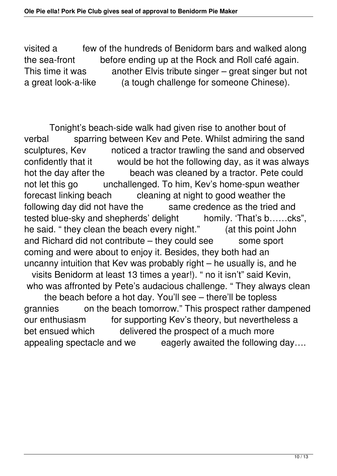visited a few of the hundreds of Benidorm bars and walked along the sea-front before ending up at the Rock and Roll café again. This time it was another Elvis tribute singer – great singer but not a great look-a-like (a tough challenge for someone Chinese).

 Tonight's beach-side walk had given rise to another bout of verbal sparring between Kev and Pete. Whilst admiring the sand<br>sculptures, Kev noticed a tractor trawling the sand and observed noticed a tractor trawling the sand and observed confidently that it would be hot the following day, as it was always hot the day after the beach was cleaned by a tractor. Pete could not let this go unchallenged. To him, Kev's home-spun weather forecast linking beach cleaning at night to good weather the following day did not have the same credence as the tried and tested blue-sky and shepherds' delight homily. 'That's b……cks", he said. " they clean the beach every night." (at this point John and Richard did not contribute – they could see some sport coming and were about to enjoy it. Besides, they both had an uncanny intuition that Kev was probably right – he usually is, and he visits Benidorm at least 13 times a year!). " no it isn't" said Kevin, who was affronted by Pete's audacious challenge. " They always clean the beach before a hot day. You'll see – there'll be topless

grannies on the beach tomorrow." This prospect rather dampened our enthusiasm for supporting Kev's theory, but nevertheless a bet ensued which delivered the prospect of a much more appealing spectacle and we eagerly awaited the following day....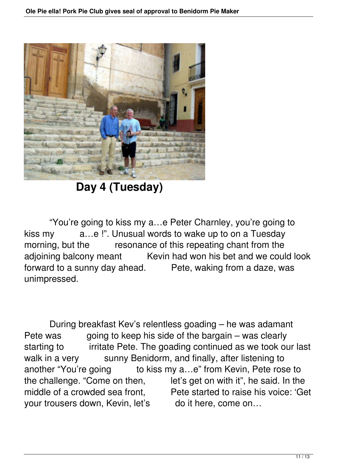

**Day 4 (Tuesday)** 

 "You're going to kiss my a…e Peter Charnley, you're going to kiss my a...e!". Unusual words to wake up to on a Tuesday morning, but the resonance of this repeating chant from the adioining balcony meant Kevin had won his bet and we could look forward to a sunny day ahead. Pete, waking from a daze, was unimpressed.

 During breakfast Kev's relentless goading – he was adamant Pete was going to keep his side of the bargain – was clearly starting to irritate Pete. The goading continued as we took our last walk in a very sunny Benidorm, and finally, after listening to another "You're going to kiss my a...e" from Kevin, Pete rose to the challenge. "Come on then, let's get on with it", he said. In the middle of a crowded sea front. Pete started to raise his voice: 'Get your trousers down, Kevin, let's do it here, come on...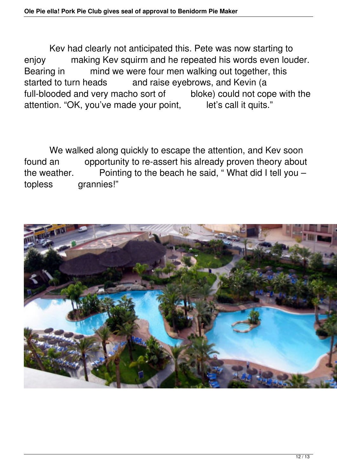Kev had clearly not anticipated this. Pete was now starting to enjoy making Kev squirm and he repeated his words even louder. Bearing in mind we were four men walking out together, this started to turn heads and raise eyebrows, and Kevin (a full-blooded and very macho sort of bloke) could not cope with the attention. "OK, you've made your point, let's call it quits."

 We walked along quickly to escape the attention, and Kev soon found an opportunity to re-assert his already proven theory about the weather. Pointing to the beach he said, "What did I tell you  $$ topless grannies!"